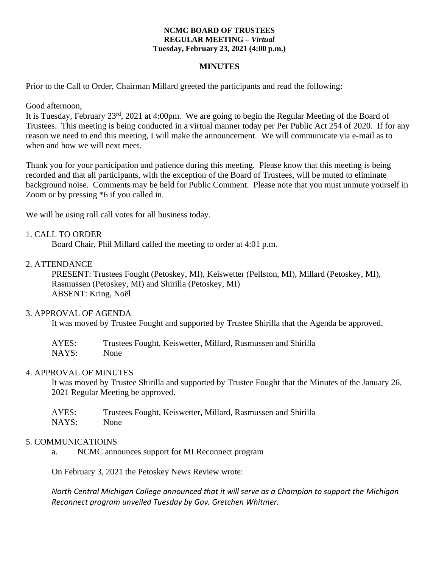#### **NCMC BOARD OF TRUSTEES REGULAR MEETING –** *Virtual* **Tuesday, February 23, 2021 (4:00 p.m.)**

### **MINUTES**

Prior to the Call to Order, Chairman Millard greeted the participants and read the following:

Good afternoon,

It is Tuesday, February 23rd, 2021 at 4:00pm. We are going to begin the Regular Meeting of the Board of Trustees. This meeting is being conducted in a virtual manner today per Per Public Act 254 of 2020. If for any reason we need to end this meeting, I will make the announcement. We will communicate via e-mail as to when and how we will next meet.

Thank you for your participation and patience during this meeting. Please know that this meeting is being recorded and that all participants, with the exception of the Board of Trustees, will be muted to eliminate background noise. Comments may be held for Public Comment. Please note that you must unmute yourself in Zoom or by pressing \*6 if you called in.

We will be using roll call votes for all business today.

### 1. CALL TO ORDER

Board Chair, Phil Millard called the meeting to order at 4:01 p.m.

### 2. ATTENDANCE

PRESENT: Trustees Fought (Petoskey, MI), Keiswetter (Pellston, MI), Millard (Petoskey, MI), Rasmussen (Petoskey, MI) and Shirilla (Petoskey, MI) ABSENT: Kring, Noël

#### 3. APPROVAL OF AGENDA

It was moved by Trustee Fought and supported by Trustee Shirilla that the Agenda be approved.

| AYES: | Trustees Fought, Keiswetter, Millard, Rasmussen and Shirilla |
|-------|--------------------------------------------------------------|
| NAYS: | None                                                         |

#### 4. APPROVAL OF MINUTES

It was moved by Trustee Shirilla and supported by Trustee Fought that the Minutes of the January 26, 2021 Regular Meeting be approved.

| AYES: | Trustees Fought, Keiswetter, Millard, Rasmussen and Shirilla |
|-------|--------------------------------------------------------------|
| NAYS: | None                                                         |

#### 5. COMMUNICATIOINS

a. NCMC announces support for MI Reconnect program

On February 3, 2021 the Petoskey News Review wrote:

*North Central Michigan College announced that it will serve as a Champion to support the Michigan Reconnect program unveiled Tuesday by Gov. Gretchen Whitmer.*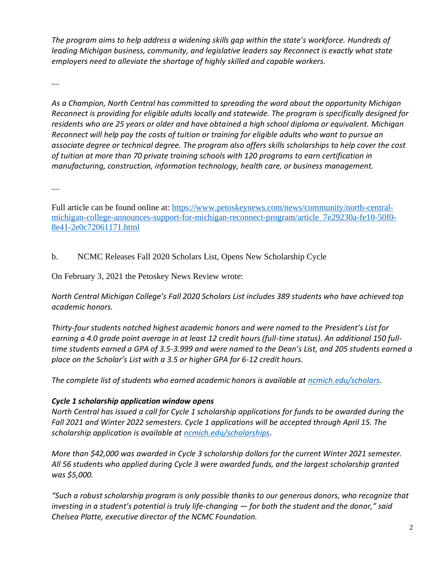*The program aims to help address a widening skills gap within the state's workforce. Hundreds of leading Michigan business, community, and legislative leaders say Reconnect is exactly what state employers need to alleviate the shortage of highly skilled and capable workers.* 

*….*

*As a Champion, North Central has committed to spreading the word about the opportunity Michigan Reconnect is providing for eligible adults locally and statewide. The program is specifically designed for residents who are 25 years or older and have obtained a high school diploma or equivalent. Michigan Reconnect will help pay the costs of tuition or training for eligible adults who want to pursue an associate degree or technical degree. The program also offers skills scholarships to help cover the cost of tuition at more than 70 private training schools with 120 programs to earn certification in manufacturing, construction, information technology, health care, or business management.* 

*….*

Full article can be found online at: [https://www.petoskeynews.com/news/community/north-central](https://www.petoskeynews.com/news/community/north-central-michigan-college-announces-support-for-michigan-reconnect-program/article_7e29230a-fe10-50f0-8e41-2e0c72061171.html)[michigan-college-announces-support-for-michigan-reconnect-program/article\\_7e29230a-fe10-50f0-](https://www.petoskeynews.com/news/community/north-central-michigan-college-announces-support-for-michigan-reconnect-program/article_7e29230a-fe10-50f0-8e41-2e0c72061171.html) [8e41-2e0c72061171.html](https://www.petoskeynews.com/news/community/north-central-michigan-college-announces-support-for-michigan-reconnect-program/article_7e29230a-fe10-50f0-8e41-2e0c72061171.html)

b. NCMC Releases Fall 2020 Scholars List, Opens New Scholarship Cycle

On February 3, 2021 the Petoskey News Review wrote:

*North Central Michigan College's Fall 2020 Scholars List includes 389 students who have achieved top academic honors.*

*Thirty-four students notched highest academic honors and were named to the President's List for earning a 4.0 grade point average in at least 12 credit hours (full-time status). An additional 150 fulltime students earned a GPA of 3.5-3.999 and were named to the Dean's List, and 205 students earned a place on the Scholar's List with a 3.5 or higher GPA for 6-12 credit hours.*

*The complete list of students who earned academic honors is available at [ncmich.edu/scholars.](http://ncmich.edu/scholars)*

# *Cycle 1 scholarship application window opens*

*North Central has issued a call for Cycle 1 scholarship applications for funds to be awarded during the Fall 2021 and Winter 2022 semesters. Cycle 1 applications will be accepted through April 15. The scholarship application is available at [ncmich.edu/scholarships.](http://ncmich.edu/scholarships)*

*More than \$42,000 was awarded in Cycle 3 scholarship dollars for the current Winter 2021 semester. All 56 students who applied during Cycle 3 were awarded funds, and the largest scholarship granted was \$5,000.*

*"Such a robust scholarship program is only possible thanks to our generous donors, who recognize that investing in a student's potential is truly life-changing — for both the student and the donor," said Chelsea Platte, executive director of the NCMC Foundation.*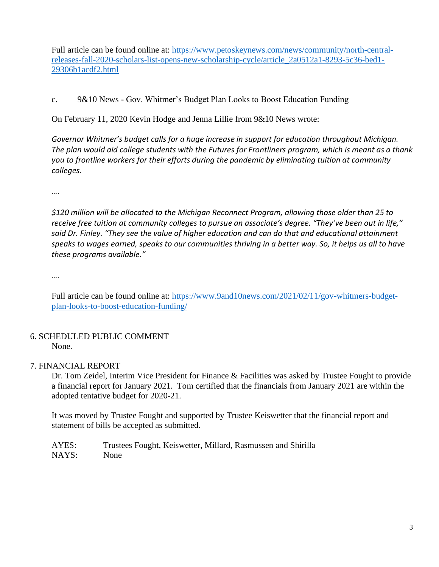Full article can be found online at: [https://www.petoskeynews.com/news/community/north-central](https://www.petoskeynews.com/news/community/north-central-releases-fall-2020-scholars-list-opens-new-scholarship-cycle/article_2a0512a1-8293-5c36-bed1-29306b1acdf2.html)[releases-fall-2020-scholars-list-opens-new-scholarship-cycle/article\\_2a0512a1-8293-5c36-bed1-](https://www.petoskeynews.com/news/community/north-central-releases-fall-2020-scholars-list-opens-new-scholarship-cycle/article_2a0512a1-8293-5c36-bed1-29306b1acdf2.html) [29306b1acdf2.html](https://www.petoskeynews.com/news/community/north-central-releases-fall-2020-scholars-list-opens-new-scholarship-cycle/article_2a0512a1-8293-5c36-bed1-29306b1acdf2.html)

c. 9&10 News - Gov. Whitmer's Budget Plan Looks to Boost Education Funding

On February 11, 2020 Kevin Hodge and Jenna Lillie from 9&10 News wrote:

*Governor Whitmer's budget calls for a huge increase in support for education throughout Michigan. The plan would aid college students with the Futures for Frontliners program, which is meant as a thank you to frontline workers for their efforts during the pandemic by eliminating tuition at community colleges.*

*….*

*\$120 million will be allocated to the Michigan Reconnect Program, allowing those older than 25 to receive free tuition at community colleges to pursue an associate's degree. "They've been out in life," said Dr. Finley. "They see the value of higher education and can do that and educational attainment speaks to wages earned, speaks to our communities thriving in a better way. So, it helps us all to have these programs available."*

*….*

Full article can be found online at: [https://www.9and10news.com/2021/02/11/gov-whitmers-budget](https://www.9and10news.com/2021/02/11/gov-whitmers-budget-plan-looks-to-boost-education-funding/)[plan-looks-to-boost-education-funding/](https://www.9and10news.com/2021/02/11/gov-whitmers-budget-plan-looks-to-boost-education-funding/)

## 6. SCHEDULED PUBLIC COMMENT None.

# 7. FINANCIAL REPORT

Dr. Tom Zeidel, Interim Vice President for Finance & Facilities was asked by Trustee Fought to provide a financial report for January 2021. Tom certified that the financials from January 2021 are within the adopted tentative budget for 2020-21.

It was moved by Trustee Fought and supported by Trustee Keiswetter that the financial report and statement of bills be accepted as submitted.

AYES: Trustees Fought, Keiswetter, Millard, Rasmussen and Shirilla NAYS: None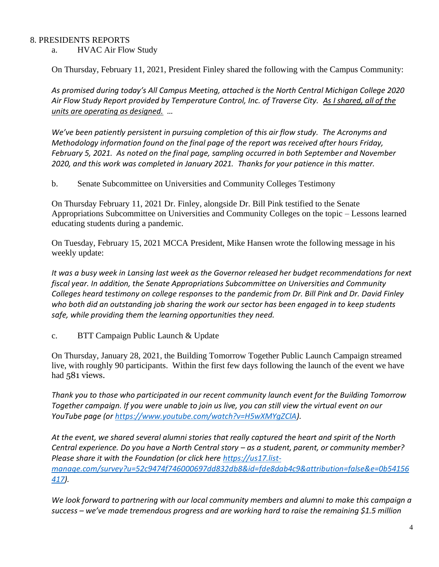## 8. PRESIDENTS REPORTS

a. HVAC Air Flow Study

On Thursday, February 11, 2021, President Finley shared the following with the Campus Community:

*As promised during today's All Campus Meeting, attached is the North Central Michigan College 2020 Air Flow Study Report provided by Temperature Control, Inc. of Traverse City. As I shared, all of the units are operating as designed. …*

*We've been patiently persistent in pursuing completion of this air flow study. The Acronyms and Methodology information found on the final page of the report was received after hours Friday, February 5, 2021. As noted on the final page, sampling occurred in both September and November 2020, and this work was completed in January 2021. Thanks for your patience in this matter.*

b. Senate Subcommittee on Universities and Community Colleges Testimony

On Thursday February 11, 2021 Dr. Finley, alongside Dr. Bill Pink testified to the Senate Appropriations Subcommittee on Universities and Community Colleges on the topic – Lessons learned educating students during a pandemic.

On Tuesday, February 15, 2021 MCCA President, Mike Hansen wrote the following message in his weekly update:

*It was a busy week in Lansing last week as the Governor released her budget recommendations for next fiscal year. In addition, the Senate Appropriations Subcommittee on Universities and Community Colleges heard testimony on college responses to the pandemic from Dr. Bill Pink and Dr. David Finley who both did an outstanding job sharing the work our sector has been engaged in to keep students safe, while providing them the learning opportunities they need.*

c. BTT Campaign Public Launch & Update

On Thursday, January 28, 2021, the Building Tomorrow Together Public Launch Campaign streamed live, with roughly 90 participants. Within the first few days following the launch of the event we have had 581 views.

*Thank you to those who participated in our recent community launch event for the Building Tomorrow Together campaign. If you were unable to join us live, you can still view the virtual event on our YouTube page (or [https://www.youtube.com/watch?v=H5wXMYgZClA\)](https://www.youtube.com/watch?v=H5wXMYgZClA).*

*At the event, we shared several alumni stories that really captured the heart and spirit of the North Central experience. Do you have a North Central story – as a student, parent, or community member? Please share it with the Foundation (or click here [https://us17.list](https://us17.list-manage.com/survey?u=52c9474f746000697dd832db8&id=fde8dab4c9&attribution=false&e=0b54156417)[manage.com/survey?u=52c9474f746000697dd832db8&id=fde8dab4c9&attribution=false&e=0b54156](https://us17.list-manage.com/survey?u=52c9474f746000697dd832db8&id=fde8dab4c9&attribution=false&e=0b54156417) [417\)](https://us17.list-manage.com/survey?u=52c9474f746000697dd832db8&id=fde8dab4c9&attribution=false&e=0b54156417).* 

*We look forward to partnering with our local community members and alumni to make this campaign a success – we've made tremendous progress and are working hard to raise the remaining \$1.5 million*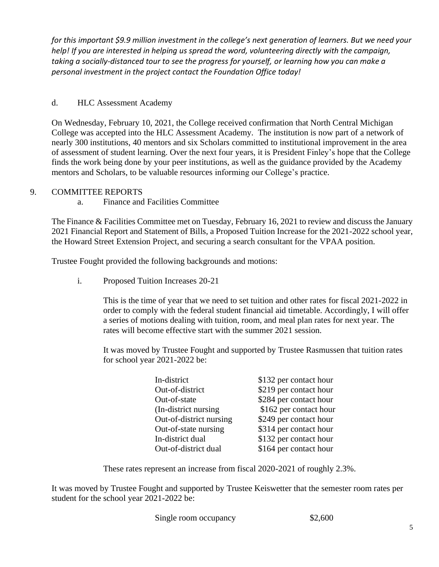*for this important \$9.9 million investment in the college's next generation of learners. But we need your help! If you are interested in helping us spread the word, volunteering directly with the campaign, taking a socially-distanced tour to see the progress for yourself, or learning how you can make a personal investment in the project contact the Foundation Office today!* 

# d. HLC Assessment Academy

On Wednesday, February 10, 2021, the College received confirmation that North Central Michigan College was accepted into the HLC Assessment Academy. The institution is now part of a network of nearly 300 institutions, 40 mentors and six Scholars committed to institutional improvement in the area of assessment of student learning. Over the next four years, it is President Finley's hope that the College finds the work being done by your peer institutions, as well as the guidance provided by the Academy mentors and Scholars, to be valuable resources informing our College's practice.

# 9. COMMITTEE REPORTS

a. Finance and Facilities Committee

The Finance & Facilities Committee met on Tuesday, February 16, 2021 to review and discuss the January 2021 Financial Report and Statement of Bills, a Proposed Tuition Increase for the 2021-2022 school year, the Howard Street Extension Project, and securing a search consultant for the VPAA position.

Trustee Fought provided the following backgrounds and motions:

i. Proposed Tuition Increases 20-21

This is the time of year that we need to set tuition and other rates for fiscal 2021-2022 in order to comply with the federal student financial aid timetable. Accordingly, I will offer a series of motions dealing with tuition, room, and meal plan rates for next year. The rates will become effective start with the summer 2021 session.

It was moved by Trustee Fought and supported by Trustee Rasmussen that tuition rates for school year 2021-2022 be:

| In-district             | \$132 per contact hour |
|-------------------------|------------------------|
| Out-of-district         | \$219 per contact hour |
| Out-of-state            | \$284 per contact hour |
| (In-district nursing)   | \$162 per contact hour |
| Out-of-district nursing | \$249 per contact hour |
| Out-of-state nursing    | \$314 per contact hour |
| In-district dual        | \$132 per contact hour |
| Out-of-district dual    | \$164 per contact hour |

These rates represent an increase from fiscal 2020-2021 of roughly 2.3%.

It was moved by Trustee Fought and supported by Trustee Keiswetter that the semester room rates per student for the school year 2021-2022 be:

Single room occupancy \$2,600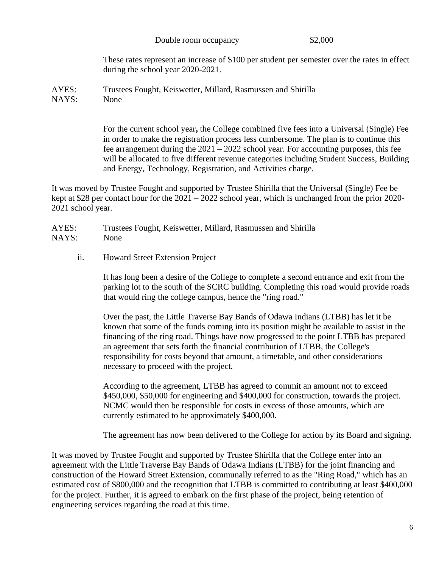Double room occupancy \$2,000

These rates represent an increase of \$100 per student per semester over the rates in effect during the school year 2020-2021.

AYES: Trustees Fought, Keiswetter, Millard, Rasmussen and Shirilla NAYS: None

> For the current school year**,** the College combined five fees into a Universal (Single) Fee in order to make the registration process less cumbersome. The plan is to continue this fee arrangement during the  $2021 - 2022$  school year. For accounting purposes, this fee will be allocated to five different revenue categories including Student Success, Building and Energy, Technology, Registration, and Activities charge.

It was moved by Trustee Fought and supported by Trustee Shirilla that the Universal (Single) Fee be kept at \$28 per contact hour for the 2021 – 2022 school year, which is unchanged from the prior 2020- 2021 school year.

AYES: Trustees Fought, Keiswetter, Millard, Rasmussen and Shirilla NAYS: None

ii. Howard Street Extension Project

It has long been a desire of the College to complete a second entrance and exit from the parking lot to the south of the SCRC building. Completing this road would provide roads that would ring the college campus, hence the "ring road."

Over the past, the Little Traverse Bay Bands of Odawa Indians (LTBB) has let it be known that some of the funds coming into its position might be available to assist in the financing of the ring road. Things have now progressed to the point LTBB has prepared an agreement that sets forth the financial contribution of LTBB, the College's responsibility for costs beyond that amount, a timetable, and other considerations necessary to proceed with the project.

According to the agreement, LTBB has agreed to commit an amount not to exceed \$450,000, \$50,000 for engineering and \$400,000 for construction, towards the project. NCMC would then be responsible for costs in excess of those amounts, which are currently estimated to be approximately \$400,000.

The agreement has now been delivered to the College for action by its Board and signing.

It was moved by Trustee Fought and supported by Trustee Shirilla that the College enter into an agreement with the Little Traverse Bay Bands of Odawa Indians (LTBB) for the joint financing and construction of the Howard Street Extension, communally referred to as the "Ring Road," which has an estimated cost of \$800,000 and the recognition that LTBB is committed to contributing at least \$400,000 for the project. Further, it is agreed to embark on the first phase of the project, being retention of engineering services regarding the road at this time.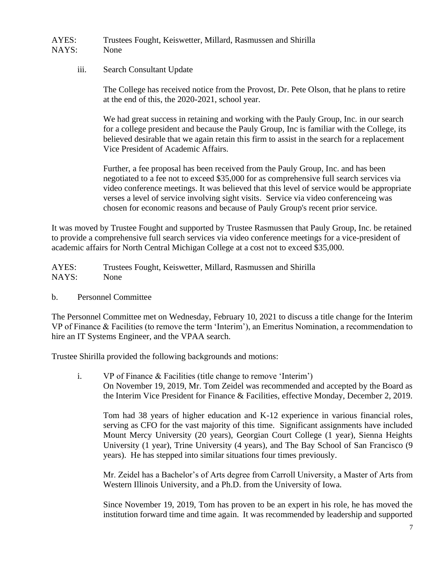AYES: Trustees Fought, Keiswetter, Millard, Rasmussen and Shirilla NAYS: None

iii. Search Consultant Update

The College has received notice from the Provost, Dr. Pete Olson, that he plans to retire at the end of this, the 2020-2021, school year.

We had great success in retaining and working with the Pauly Group, Inc. in our search for a college president and because the Pauly Group, Inc is familiar with the College, its believed desirable that we again retain this firm to assist in the search for a replacement Vice President of Academic Affairs.

Further, a fee proposal has been received from the Pauly Group, Inc. and has been negotiated to a fee not to exceed \$35,000 for as comprehensive full search services via video conference meetings. It was believed that this level of service would be appropriate verses a level of service involving sight visits. Service via video conferenceing was chosen for economic reasons and because of Pauly Group's recent prior service.

It was moved by Trustee Fought and supported by Trustee Rasmussen that Pauly Group, Inc. be retained to provide a comprehensive full search services via video conference meetings for a vice-president of academic affairs for North Central Michigan College at a cost not to exceed \$35,000.

AYES: Trustees Fought, Keiswetter, Millard, Rasmussen and Shirilla NAYS: None

b. Personnel Committee

The Personnel Committee met on Wednesday, February 10, 2021 to discuss a title change for the Interim VP of Finance & Facilities (to remove the term 'Interim'), an Emeritus Nomination, a recommendation to hire an IT Systems Engineer, and the VPAA search.

Trustee Shirilla provided the following backgrounds and motions:

i. VP of Finance & Facilities (title change to remove 'Interim') On November 19, 2019, Mr. Tom Zeidel was recommended and accepted by the Board as the Interim Vice President for Finance & Facilities, effective Monday, December 2, 2019.

Tom had 38 years of higher education and K-12 experience in various financial roles, serving as CFO for the vast majority of this time. Significant assignments have included Mount Mercy University (20 years), Georgian Court College (1 year), Sienna Heights University (1 year), Trine University (4 years), and The Bay School of San Francisco (9 years). He has stepped into similar situations four times previously.

Mr. Zeidel has a Bachelor's of Arts degree from Carroll University, a Master of Arts from Western Illinois University, and a Ph.D. from the University of Iowa.

Since November 19, 2019, Tom has proven to be an expert in his role, he has moved the institution forward time and time again. It was recommended by leadership and supported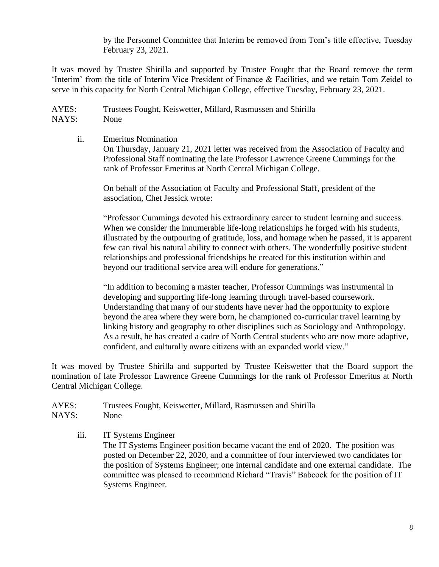by the Personnel Committee that Interim be removed from Tom's title effective, Tuesday February 23, 2021.

It was moved by Trustee Shirilla and supported by Trustee Fought that the Board remove the term 'Interim' from the title of Interim Vice President of Finance & Facilities, and we retain Tom Zeidel to serve in this capacity for North Central Michigan College, effective Tuesday, February 23, 2021.

AYES: Trustees Fought, Keiswetter, Millard, Rasmussen and Shirilla NAYS: None

ii. Emeritus Nomination On Thursday, January 21, 2021 letter was received from the Association of Faculty and Professional Staff nominating the late Professor Lawrence Greene Cummings for the rank of Professor Emeritus at North Central Michigan College.

On behalf of the Association of Faculty and Professional Staff, president of the association, Chet Jessick wrote:

"Professor Cummings devoted his extraordinary career to student learning and success. When we consider the innumerable life-long relationships he forged with his students, illustrated by the outpouring of gratitude, loss, and homage when he passed, it is apparent few can rival his natural ability to connect with others. The wonderfully positive student relationships and professional friendships he created for this institution within and beyond our traditional service area will endure for generations."

"In addition to becoming a master teacher, Professor Cummings was instrumental in developing and supporting life-long learning through travel-based coursework. Understanding that many of our students have never had the opportunity to explore beyond the area where they were born, he championed co-curricular travel learning by linking history and geography to other disciplines such as Sociology and Anthropology. As a result, he has created a cadre of North Central students who are now more adaptive, confident, and culturally aware citizens with an expanded world view."

It was moved by Trustee Shirilla and supported by Trustee Keiswetter that the Board support the nomination of late Professor Lawrence Greene Cummings for the rank of Professor Emeritus at North Central Michigan College.

AYES: Trustees Fought, Keiswetter, Millard, Rasmussen and Shirilla NAYS: None

iii. IT Systems Engineer The IT Systems Engineer position became vacant the end of 2020. The position was posted on December 22, 2020, and a committee of four interviewed two candidates for the position of Systems Engineer; one internal candidate and one external candidate. The committee was pleased to recommend Richard "Travis" Babcock for the position of IT Systems Engineer.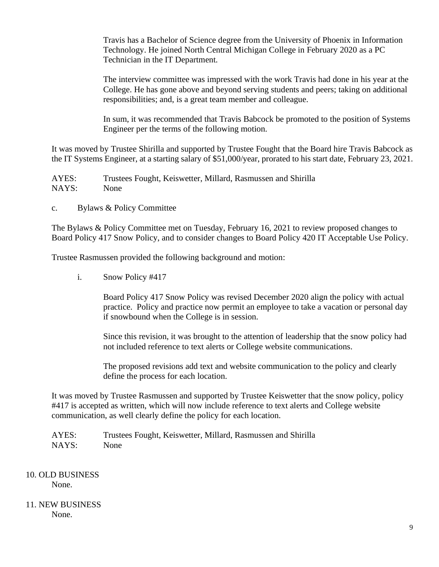Travis has a Bachelor of Science degree from the University of Phoenix in Information Technology. He joined North Central Michigan College in February 2020 as a PC Technician in the IT Department.

The interview committee was impressed with the work Travis had done in his year at the College. He has gone above and beyond serving students and peers; taking on additional responsibilities; and, is a great team member and colleague.

In sum, it was recommended that Travis Babcock be promoted to the position of Systems Engineer per the terms of the following motion.

It was moved by Trustee Shirilla and supported by Trustee Fought that the Board hire Travis Babcock as the IT Systems Engineer, at a starting salary of \$51,000/year, prorated to his start date, February 23, 2021.

AYES: Trustees Fought, Keiswetter, Millard, Rasmussen and Shirilla NAYS: None

c. Bylaws & Policy Committee

The Bylaws & Policy Committee met on Tuesday, February 16, 2021 to review proposed changes to Board Policy 417 Snow Policy, and to consider changes to Board Policy 420 IT Acceptable Use Policy.

Trustee Rasmussen provided the following background and motion:

i. Snow Policy #417

Board Policy 417 Snow Policy was revised December 2020 align the policy with actual practice. Policy and practice now permit an employee to take a vacation or personal day if snowbound when the College is in session.

Since this revision, it was brought to the attention of leadership that the snow policy had not included reference to text alerts or College website communications.

The proposed revisions add text and website communication to the policy and clearly define the process for each location.

It was moved by Trustee Rasmussen and supported by Trustee Keiswetter that the snow policy, policy #417 is accepted as written, which will now include reference to text alerts and College website communication, as well clearly define the policy for each location.

AYES: Trustees Fought, Keiswetter, Millard, Rasmussen and Shirilla NAYS: None

10. OLD BUSINESS None.

#### 11. NEW BUSINESS None.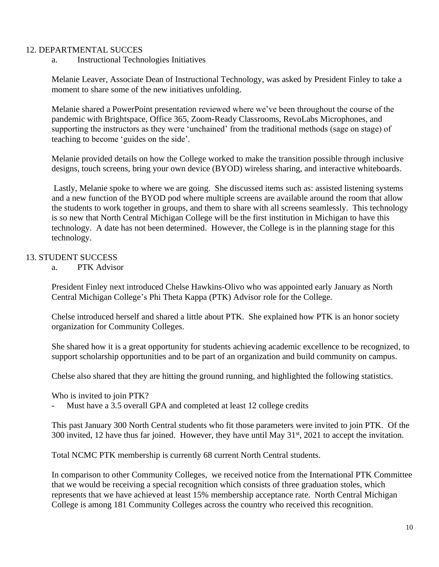## 12. DEPARTMENTAL SUCCES

a. Instructional Technologies Initiatives

Melanie Leaver, Associate Dean of Instructional Technology, was asked by President Finley to take a moment to share some of the new initiatives unfolding.

Melanie shared a PowerPoint presentation reviewed where we've been throughout the course of the pandemic with Brightspace, Office 365, Zoom-Ready Classrooms, RevoLabs Microphones, and supporting the instructors as they were 'unchained' from the traditional methods (sage on stage) of teaching to become 'guides on the side'.

Melanie provided details on how the College worked to make the transition possible through inclusive designs, touch screens, bring your own device (BYOD) wireless sharing, and interactive whiteboards.

Lastly, Melanie spoke to where we are going. She discussed items such as: assisted listening systems and a new function of the BYOD pod where multiple screens are available around the room that allow the students to work together in groups, and them to share with all screens seamlessly. This technology is so new that North Central Michigan College will be the first institution in Michigan to have this technology. A date has not been determined. However, the College is in the planning stage for this technology.

# 13. STUDENT SUCCESS

a. PTK Advisor

President Finley next introduced Chelse Hawkins-Olivo who was appointed early January as North Central Michigan College's Phi Theta Kappa (PTK) Advisor role for the College.

Chelse introduced herself and shared a little about PTK. She explained how PTK is an honor society organization for Community Colleges.

She shared how it is a great opportunity for students achieving academic excellence to be recognized, to support scholarship opportunities and to be part of an organization and build community on campus.

Chelse also shared that they are hitting the ground running, and highlighted the following statistics.

Who is invited to join PTK?

Must have a 3.5 overall GPA and completed at least 12 college credits

This past January 300 North Central students who fit those parameters were invited to join PTK. Of the 300 invited, 12 have thus far joined. However, they have until May  $31<sup>st</sup>$ , 2021 to accept the invitation.

Total NCMC PTK membership is currently 68 current North Central students.

In comparison to other Community Colleges, we received notice from the International PTK Committee that we would be receiving a special recognition which consists of three graduation stoles, which represents that we have achieved at least 15% membership acceptance rate. North Central Michigan College is among 181 Community Colleges across the country who received this recognition.